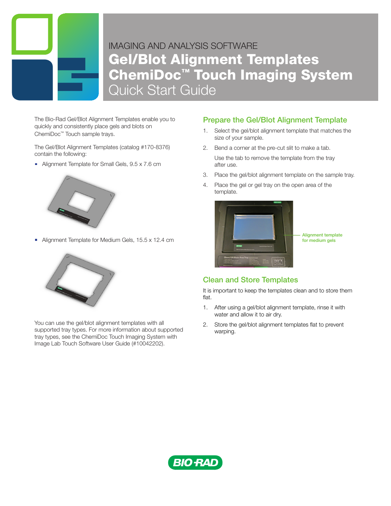

## IMAGING AND ANALYSIS SOFTWARE IMAGING AND ANALYSIS SOFTWARE Gel/Blot Alignment Templates ChemiDoc™ Touch Imaging System ChemiDoc™ Touch Imaging System Quick Start Guide Quick Guide

The Bio-Rad Gel/Blot Alignment Templates enable you to quickly and consistently place gels and blots on ChemiDoc™ Touch sample trays.

The Gel/Blot Alignment Templates (catalog #170-8376) the step step angularion templated (stated contain the following:

Alignment Template for Small Gels, 9.5 x 7.6 cm



Alignment Template for Medium Gels, 15.5 x 12.4 cm



You can use the gel/blot alignment templates with all supported tray types. For more information about supported tray types, see the ChemiDoc Touch Imaging System with Image Lab Touch Software User Guide (#10042202).

## Prepare the Gel/Blot Alignment Template

- 1. Select the gel/blot alignment template that matches the  $1000$  Tap Exposure and the show Preview Preview  $\frac{1}{2}$ size of your sample.
	- 2. Bend a corner at the pre-cut slit to make a tab. Use the tab to remove the template from the tray after use.
	- 3. Place the gel/blot alignment template on the sample tray.
	- 4. Place the gel or gel tray on the open area of the template.



## Clean and Store Templates

It is important to keep the templates clean and to store them flat.

- 1. After using a gel/blot alignment template, rinse it with water and allow it to air dry.
- 2 You can refine the exposure area by 2. Store the gel/blot alignment templates flat to prevent warping.